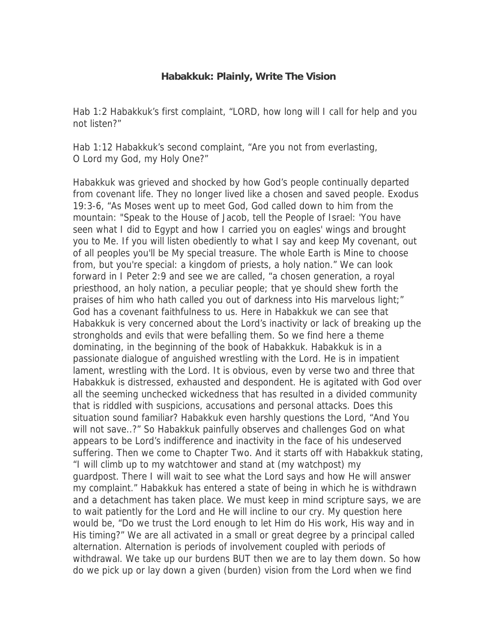## **Habakkuk: Plainly, Write The Vision**

Hab 1:2 Habakkuk's first complaint, "LORD, how long will I call for help and you not listen?"

Hab 1:12 Habakkuk's second complaint, "Are you not from everlasting, O Lord my God, my Holy One?"

Habakkuk was grieved and shocked by how God's people continually departed from covenant life. They no longer lived like a chosen and saved people. Exodus 19:3-6, "As Moses went up to meet God, God called down to him from the mountain: "Speak to the House of Jacob, tell the People of Israel: 'You have seen what I did to Egypt and how I carried you on eagles' wings and brought you to Me. If you will listen obediently to what I say and keep My covenant, out of all peoples you'll be My special treasure. The whole Earth is Mine to choose from, but you're special: a kingdom of priests, a holy nation." We can look forward in I Peter 2:9 and see we are called, "a chosen generation, a royal priesthood, an holy nation, a peculiar people; that ye should shew forth the praises of him who hath called you out of darkness into His marvelous light;" God has a covenant faithfulness to us. Here in Habakkuk we can see that Habakkuk is very concerned about the Lord's inactivity or lack of breaking up the strongholds and evils that were befalling them. So we find here a theme dominating, in the beginning of the book of Habakkuk. Habakkuk is in a passionate dialogue of anguished wrestling with the Lord. He is in impatient lament, wrestling with the Lord. It is obvious, even by verse two and three that Habakkuk is distressed, exhausted and despondent. He is agitated with God over all the seeming unchecked wickedness that has resulted in a divided community that is riddled with suspicions, accusations and personal attacks. Does this situation sound familiar? Habakkuk even harshly questions the Lord, "And You will not save..?" So Habakkuk painfully observes and challenges God on what appears to be Lord's indifference and inactivity in the face of his undeserved suffering. Then we come to Chapter Two. And it starts off with Habakkuk stating, "I will climb up to my watchtower and stand at (my watchpost) my guardpost. There I will wait to see what the Lord says and how He will answer my complaint." Habakkuk has entered a state of being in which he is withdrawn and a detachment has taken place. We must keep in mind scripture says, we are to wait patiently for the Lord and He will incline to our cry. My question here would be, "Do we trust the Lord enough to let Him do His work, His way and in His timing?" We are all activated in a small or great degree by a principal called alternation. Alternation is periods of involvement coupled with periods of withdrawal. We take up our burdens BUT then we are to lay them down. So how do we pick up or lay down a given (burden) vision from the Lord when we find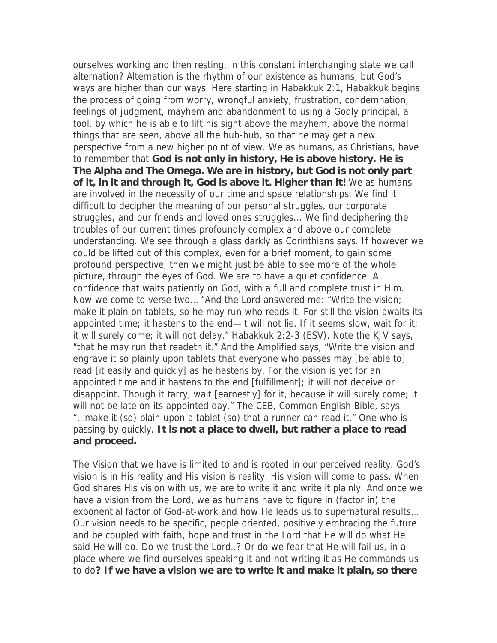ourselves working and then resting, in this constant interchanging state we call alternation? Alternation is the rhythm of our existence as humans, but God's ways are higher than our ways. Here starting in Habakkuk 2:1, Habakkuk begins the process of going from worry, wrongful anxiety, frustration, condemnation, feelings of judgment, mayhem and abandonment to using a Godly principal, a tool, by which he is able to lift his sight above the mayhem, above the normal things that are seen, above all the hub-bub, so that he may get a new perspective from a new higher point of view. We as humans, as Christians, have to remember that **God is not only in history, He is above history. He is The Alpha and The Omega. We are in history, but God is not only part of it, in it and through it, God is above it. Higher than it!** We as humans are involved in the necessity of our time and space relationships. We find it difficult to decipher the meaning of our personal struggles, our corporate struggles, and our friends and loved ones struggles... We find deciphering the troubles of our current times profoundly complex and above our complete understanding. We see through a glass darkly as Corinthians says. If however we could be lifted out of this complex, even for a brief moment, to gain some profound perspective, then we might just be able to see more of the whole picture, through the eyes of God. We are to have a quiet confidence. A confidence that waits patiently on God, with a full and complete trust in Him. Now we come to verse two… "And the Lord answered me: "Write the vision; make it plain on tablets, so he may run who reads it. For still the vision awaits its appointed time; it hastens to the end—it will not lie. If it seems slow, wait for it; it will surely come; it will not delay." Habakkuk 2:2-3 (ESV). Note the KJV says, "that he may run that readeth it." And the Amplified says, "Write the vision and engrave it so plainly upon tablets that everyone who passes may [be able to] read [it easily and quickly] as he hastens by. For the vision is yet for an appointed time and it hastens to the end [fulfillment]; it will not deceive or disappoint. Though it tarry, wait [earnestly] for it, because it will surely come; it will not be late on its appointed day." The CEB, Common English Bible, says "…make it (so) plain upon a tablet (so) that a runner can read it." One who is passing by quickly. **It is not a place to dwell, but rather a place to read and proceed.**

The Vision that we have is limited to and is rooted in our perceived reality. God's vision is in His reality and His vision is reality. His vision will come to pass. When God shares His vision with us, we are to write it and write it plainly. And once we have a vision from the Lord, we as humans have to figure in (factor in) the exponential factor of God-at-work and how He leads us to supernatural results… Our vision needs to be specific, people oriented, positively embracing the future and be coupled with faith, hope and trust in the Lord that He will do what He said He will do. Do we trust the Lord..? Or do we fear that He will fail us, in a place where we find ourselves speaking it and not writing it as He commands us to do**? If we have a vision we are to write it and make it plain, so there**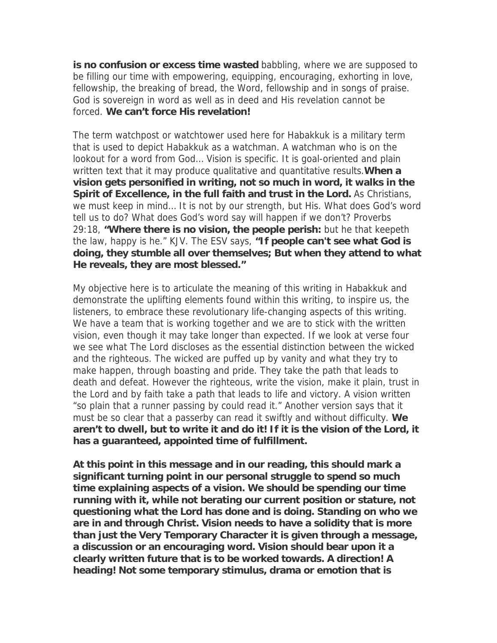**is no confusion or excess time wasted** babbling, where we are supposed to be filling our time with empowering, equipping, encouraging, exhorting in love, fellowship, the breaking of bread, the Word, fellowship and in songs of praise. God is sovereign in word as well as in deed and His revelation cannot be forced. **We can't force His revelation!**

The term watchpost or watchtower used here for Habakkuk is a military term that is used to depict Habakkuk as a watchman. A watchman who is on the lookout for a word from God… Vision is specific. It is goal-oriented and plain written text that it may produce qualitative and quantitative results.**When a vision gets personified in writing, not so much in word, it walks in the Spirit of Excellence, in the full faith and trust in the Lord.** As Christians, we must keep in mind… It is not by our strength, but His. What does God's word tell us to do? What does God's word say will happen if we don't? Proverbs 29:18, **"Where there is no vision, the people perish:** but he that keepeth the law, happy is he." KJV. The ESV says, **"If people can't see what God is doing, they stumble all over themselves; But when they attend to what He reveals, they are most blessed."**

My objective here is to articulate the meaning of this writing in Habakkuk and demonstrate the uplifting elements found within this writing, to inspire us, the listeners, to embrace these revolutionary life-changing aspects of this writing. We have a team that is working together and we are to stick with the written vision, even though it may take longer than expected. If we look at verse four we see what The Lord discloses as the essential distinction between the wicked and the righteous. The wicked are puffed up by vanity and what they try to make happen, through boasting and pride. They take the path that leads to death and defeat. However the righteous, write the vision, make it plain, trust in the Lord and by faith take a path that leads to life and victory. A vision written "so plain that a runner passing by could read it." Another version says that it must be so clear that a passerby can read it swiftly and without difficulty. **We aren't to dwell, but to write it and do it! If it is the vision of the Lord, it has a guaranteed, appointed time of fulfillment.**

**At this point in this message and in our reading, this should mark a significant turning point in our personal struggle to spend so much time explaining aspects of a vision. We should be spending our time running with it, while not berating our current position or stature, not questioning what the Lord has done and is doing. Standing on who we are in and through Christ. Vision needs to have a solidity that is more than just the Very Temporary Character it is given through a message, a discussion or an encouraging word. Vision should bear upon it a clearly written future that is to be worked towards. A direction! A heading! Not some temporary stimulus, drama or emotion that is**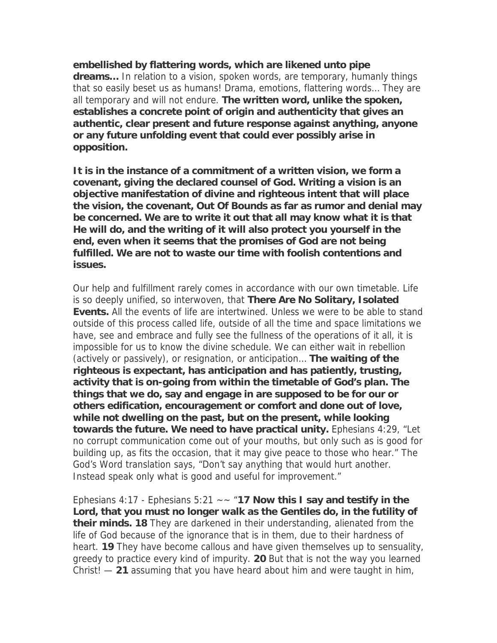**embellished by flattering words, which are likened unto pipe dreams…** In relation to a vision, spoken words, are temporary, humanly things that so easily beset us as humans! Drama, emotions, flattering words… They are all temporary and will not endure. **The written word, unlike the spoken, establishes a concrete point of origin and authenticity that gives an authentic, clear present and future response against anything, anyone or any future unfolding event that could ever possibly arise in opposition.**

**It is in the instance of a commitment of a written vision, we form a covenant, giving the declared counsel of God. Writing a vision is an objective manifestation of divine and righteous intent that will place the vision, the covenant, Out Of Bounds as far as rumor and denial may be concerned. We are to write it out that all may know what it is that He will do, and the writing of it will also protect you yourself in the end, even when it seems that the promises of God are not being fulfilled. We are not to waste our time with foolish contentions and issues.**

Our help and fulfillment rarely comes in accordance with our own timetable. Life is so deeply unified, so interwoven, that **There Are No Solitary, Isolated Events.** All the events of life are intertwined. Unless we were to be able to stand outside of this process called life, outside of all the time and space limitations we have, see and embrace and fully see the fullness of the operations of it all, it is impossible for us to know the divine schedule. We can either wait in rebellion (actively or passively), or resignation, or anticipation… **The waiting of the righteous is expectant, has anticipation and has patiently, trusting, activity that is on-going from within the timetable of God's plan. The things that we do, say and engage in are supposed to be for our or others edification, encouragement or comfort and done out of love, while not dwelling on the past, but on the present, while looking towards the future. We need to have practical unity.** Ephesians 4:29, "Let no corrupt communication come out of your mouths, but only such as is good for building up, as fits the occasion, that it may give peace to those who hear." The God's Word translation says, "Don't say anything that would hurt another. Instead speak only what is good and useful for improvement."

Ephesians 4:17 - Ephesians 5:21 ~~ "**17 Now this I say and testify in the Lord, that you must no longer walk as the Gentiles do, in the futility of their minds. 18** They are darkened in their understanding, alienated from the life of God because of the ignorance that is in them, due to their hardness of heart. **19** They have become callous and have given themselves up to sensuality, greedy to practice every kind of impurity. **20** But that is not the way you learned Christ! — **21** assuming that you have heard about him and were taught in him,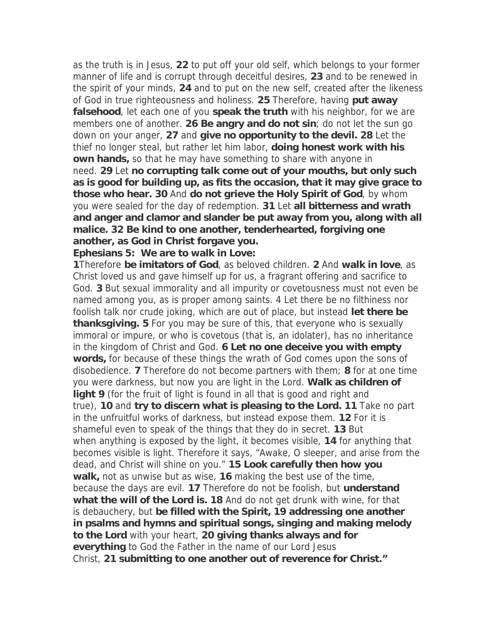as the truth is in Jesus, **22** to put off your old self, which belongs to your former manner of life and is corrupt through deceitful desires, **23** and to be renewed in the spirit of your minds, **24** and to put on the new self, created after the likeness of God in true righteousness and holiness. **25** Therefore, having **put away falsehood**, let each one of you **speak the truth** with his neighbor, for we are members one of another. **26 Be angry and do not sin**; do not let the sun go down on your anger, **27** and **give no opportunity to the devil. 28** Let the thief no longer steal, but rather let him labor, **doing honest work with his own hands,** so that he may have something to share with anyone in need. **29** Let **no corrupting talk come out of your mouths, but only such as is good for building up, as fits the occasion, that it may give grace to those who hear. 30** And **do not grieve the Holy Spirit of God**, by whom you were sealed for the day of redemption. **31** Let **all bitterness and wrath and anger and clamor and slander be put away from you, along with all malice. 32 Be kind to one another, tenderhearted, forgiving one another, as God in Christ forgave you.**

**Ephesians 5: We are to walk in Love:**

**1**Therefore **be imitators of God**, as beloved children. **2** And **walk in love**, as Christ loved us and gave himself up for us, a fragrant offering and sacrifice to God. **3** But sexual immorality and all impurity or covetousness must not even be named among you, as is proper among saints. 4 Let there be no filthiness nor foolish talk nor crude joking, which are out of place, but instead **let there be thanksgiving. 5** For you may be sure of this, that everyone who is sexually immoral or impure, or who is covetous (that is, an idolater), has no inheritance in the kingdom of Christ and God. **6 Let no one deceive you with empty words,** for because of these things the wrath of God comes upon the sons of disobedience. **7** Therefore do not become partners with them; **8** for at one time you were darkness, but now you are light in the Lord. **Walk as children of light 9** (for the fruit of light is found in all that is good and right and true), **10** and **try to discern what is pleasing to the Lord. 11** Take no part in the unfruitful works of darkness, but instead expose them. **12** For it is shameful even to speak of the things that they do in secret. **13** But when anything is exposed by the light, it becomes visible, **14** for anything that becomes visible is light. Therefore it says, "Awake, O sleeper, and arise from the dead, and Christ will shine on you." **15 Look carefully then how you walk,** not as unwise but as wise, **16** making the best use of the time, because the days are evil. **17** Therefore do not be foolish, but **understand what the will of the Lord is. 18** And do not get drunk with wine, for that is debauchery, but **be filled with the Spirit, 19 addressing one another in psalms and hymns and spiritual songs, singing and making melody to the Lord** with your heart, **20 giving thanks always and for everything** to God the Father in the name of our Lord Jesus Christ, **21 submitting to one another out of reverence for Christ."**